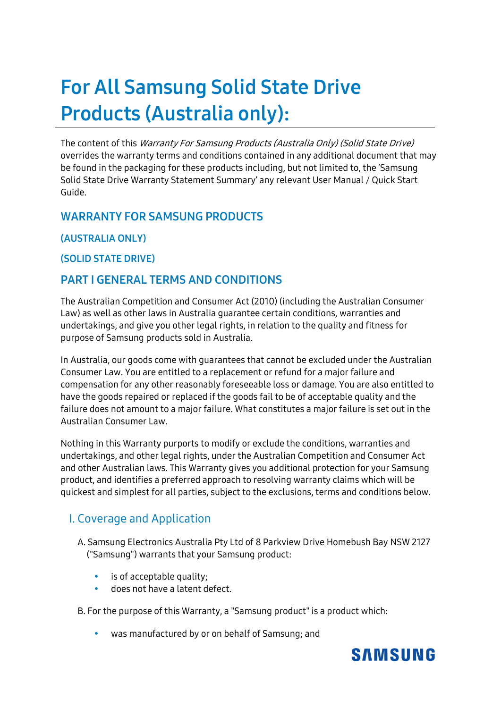# **For All Samsung Solid State Drive Products (Australia only):**

The content of this Warranty For Samsung Products (Australia Only) (Solid State Drive) overrides the warranty terms and conditions contained in any additional document that may be found in the packaging for these products including, but not limited to, the 'Samsung Solid State Drive Warranty Statement Summary' any relevant User Manual / Quick Start Guide.

## **WARRANTY FOR SAMSUNG PRODUCTS**

**(AUSTRALIA ONLY)** 

**(SOLID STATE DRIVE)** 

## **PART I GENERAL TERMS AND CONDITIONS**

The Australian Competition and Consumer Act (2010) (including the Australian Consumer Law) as well as other laws in Australia guarantee certain conditions, warranties and undertakings, and give you other legal rights, in relation to the quality and fitness for purpose of Samsung products sold in Australia.

In Australia, our goods come with guarantees that cannot be excluded under the Australian Consumer Law. You are entitled to a replacement or refund for a major failure and compensation for any other reasonably foreseeable loss or damage. You are also entitled to have the goods repaired or replaced if the goods fail to be of acceptable quality and the failure does not amount to a major failure. What constitutes a major failure is set out in the Australian Consumer Law.

Nothing in this Warranty purports to modify or exclude the conditions, warranties and undertakings, and other legal rights, under the Australian Competition and Consumer Act and other Australian laws. This Warranty gives you additional protection for your Samsung product, and identifies a preferred approach to resolving warranty claims which will be quickest and simplest for all parties, subject to the exclusions, terms and conditions below.

# I. Coverage and Application

A. Samsung Electronics Australia Pty Ltd of 8 Parkview Drive Homebush Bay NSW 2127 ("Samsung") warrants that your Samsung product:

- is of acceptable quality;
- does not have a latent defect.

B. For the purpose of this Warranty, a "Samsung product" is a product which:

was manufactured by or on behalf of Samsung; and

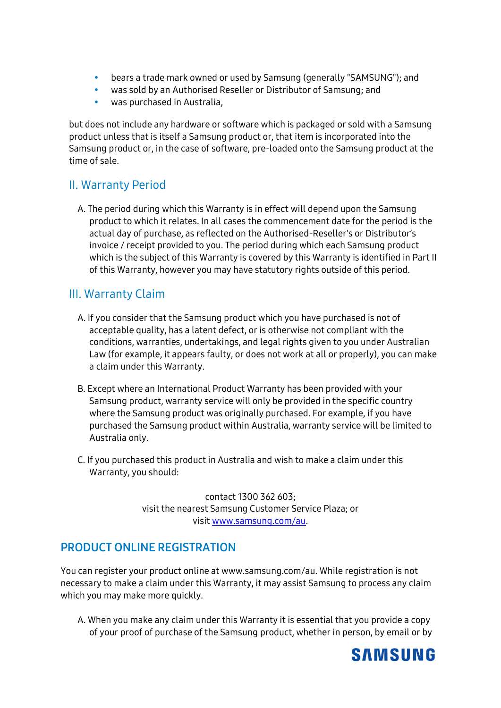- bears a trade mark owned or used by Samsung (generally "SAMSUNG"); and
- was sold by an Authorised Reseller or Distributor of Samsung; and
- was purchased in Australia,

but does not include any hardware or software which is packaged or sold with a Samsung product unless that is itself a Samsung product or, that item is incorporated into the Samsung product or, in the case of software, pre-loaded onto the Samsung product at the time of sale.

#### II. Warranty Period

A. The period during which this Warranty is in effect will depend upon the Samsung product to which it relates. In all cases the commencement date for the period is the actual day of purchase, as reflected on the Authorised-Reseller's or Distributor's invoice / receipt provided to you. The period during which each Samsung product which is the subject of this Warranty is covered by this Warranty is identified in Part II of this Warranty, however you may have statutory rights outside of this period.

#### III. Warranty Claim

- A. If you consider that the Samsung product which you have purchased is not of acceptable quality, has a latent defect, or is otherwise not compliant with the conditions, warranties, undertakings, and legal rights given to you under Australian Law (for example, it appears faulty, or does not work at all or properly), you can make a claim under this Warranty.
- B. Except where an International Product Warranty has been provided with your Samsung product, warranty service will only be provided in the specific country where the Samsung product was originally purchased. For example, if you have purchased the Samsung product within Australia, warranty service will be limited to Australia only.
- C. If you purchased this product in Australia and wish to make a claim under this Warranty, you should:

contact 1300 362 603; visit the nearest Samsung Customer Service Plaza; or visit [www.samsung.com/au.](http://www.samsung.com/au)

#### **PRODUCT ONLINE REGISTRATION**

You can register your product online at www.samsung.com/au. While registration is not necessary to make a claim under this Warranty, it may assist Samsung to process any claim which you may make more quickly.

A. When you make any claim under this Warranty it is essential that you provide a copy of your proof of purchase of the Samsung product, whether in person, by email or by

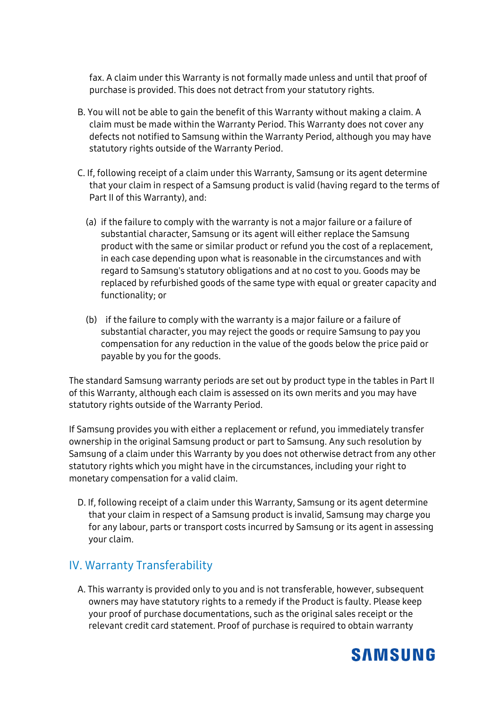fax. A claim under this Warranty is not formally made unless and until that proof of purchase is provided. This does not detract from your statutory rights.

- B. You will not be able to gain the benefit of this Warranty without making a claim. A claim must be made within the Warranty Period. This Warranty does not cover any defects not notified to Samsung within the Warranty Period, although you may have statutory rights outside of the Warranty Period.
- C. If, following receipt of a claim under this Warranty, Samsung or its agent determine that your claim in respect of a Samsung product is valid (having regard to the terms of Part II of this Warranty), and:
	- (a) if the failure to comply with the warranty is not a major failure or a failure of substantial character, Samsung or its agent will either replace the Samsung product with the same or similar product or refund you the cost of a replacement, in each case depending upon what is reasonable in the circumstances and with regard to Samsung's statutory obligations and at no cost to you. Goods may be replaced by refurbished goods of the same type with equal or greater capacity and functionality; or
	- (b) if the failure to comply with the warranty is a major failure or a failure of substantial character, you may reject the goods or require Samsung to pay you compensation for any reduction in the value of the goods below the price paid or payable by you for the goods.

The standard Samsung warranty periods are set out by product type in the tables in Part II of this Warranty, although each claim is assessed on its own merits and you may have statutory rights outside of the Warranty Period.

If Samsung provides you with either a replacement or refund, you immediately transfer ownership in the original Samsung product or part to Samsung. Any such resolution by Samsung of a claim under this Warranty by you does not otherwise detract from any other statutory rights which you might have in the circumstances, including your right to monetary compensation for a valid claim.

D. If, following receipt of a claim under this Warranty, Samsung or its agent determine that your claim in respect of a Samsung product is invalid, Samsung may charge you for any labour, parts or transport costs incurred by Samsung or its agent in assessing your claim.

#### IV. Warranty Transferability

A. This warranty is provided only to you and is not transferable, however, subsequent owners may have statutory rights to a remedy if the Product is faulty. Please keep your proof of purchase documentations, such as the original sales receipt or the relevant credit card statement. Proof of purchase is required to obtain warranty

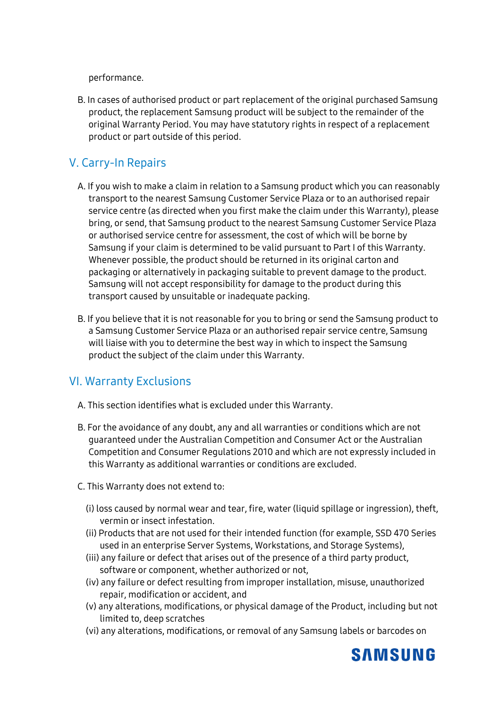performance.

B. In cases of authorised product or part replacement of the original purchased Samsung product, the replacement Samsung product will be subject to the remainder of the original Warranty Period. You may have statutory rights in respect of a replacement product or part outside of this period.

# V. Carry-In Repairs

- A. If you wish to make a claim in relation to a Samsung product which you can reasonably transport to the nearest Samsung Customer Service Plaza or to an authorised repair service centre (as directed when you first make the claim under this Warranty), please bring, or send, that Samsung product to the nearest Samsung Customer Service Plaza or authorised service centre for assessment, the cost of which will be borne by Samsung if your claim is determined to be valid pursuant to Part I of this Warranty. Whenever possible, the product should be returned in its original carton and packaging or alternatively in packaging suitable to prevent damage to the product. Samsung will not accept responsibility for damage to the product during this transport caused by unsuitable or inadequate packing.
- B. If you believe that it is not reasonable for you to bring or send the Samsung product to a Samsung Customer Service Plaza or an authorised repair service centre, Samsung will liaise with you to determine the best way in which to inspect the Samsung product the subject of the claim under this Warranty.

#### VI. Warranty Exclusions

- A. This section identifies what is excluded under this Warranty.
- B. For the avoidance of any doubt, any and all warranties or conditions which are not guaranteed under the Australian Competition and Consumer Act or the Australian Competition and Consumer Regulations 2010 and which are not expressly included in this Warranty as additional warranties or conditions are excluded.
- C. This Warranty does not extend to:
	- (i) loss caused by normal wear and tear, fire, water (liquid spillage or ingression), theft, vermin or insect infestation.
	- (ii) Products that are not used for their intended function (for example, SSD 470 Series used in an enterprise Server Systems, Workstations, and Storage Systems),
	- (iii) any failure or defect that arises out of the presence of a third party product, software or component, whether authorized or not,
	- (iv) any failure or defect resulting from improper installation, misuse, unauthorized repair, modification or accident, and
	- (v) any alterations, modifications, or physical damage of the Product, including but not limited to, deep scratches
	- (vi) any alterations, modifications, or removal of any Samsung labels or barcodes on

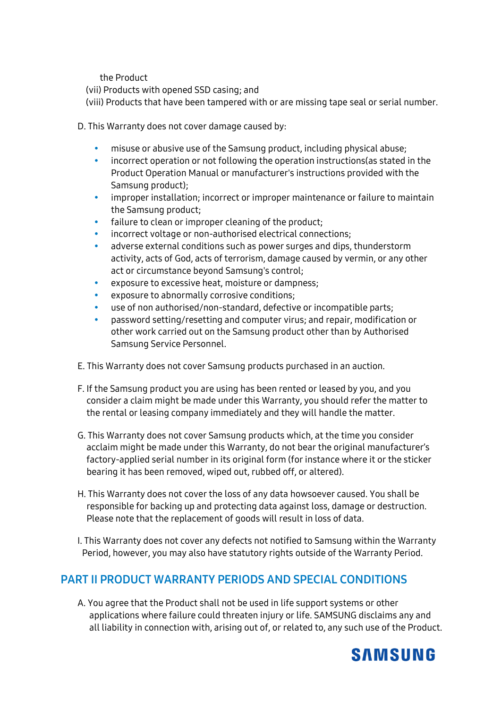the Product

(vii) Products with opened SSD casing; and

(viii) Products that have been tampered with or are missing tape seal or serial number.

D. This Warranty does not cover damage caused by:

- misuse or abusive use of the Samsung product, including physical abuse;
- incorrect operation or not following the operation instructions(as stated in the Product Operation Manual or manufacturer's instructions provided with the Samsung product);
- improper installation; incorrect or improper maintenance or failure to maintain the Samsung product;
- failure to clean or improper cleaning of the product;
- incorrect voltage or non-authorised electrical connections;
- adverse external conditions such as power surges and dips, thunderstorm activity, acts of God, acts of terrorism, damage caused by vermin, or any other act or circumstance beyond Samsung's control;
- exposure to excessive heat, moisture or dampness;
- exposure to abnormally corrosive conditions;
- use of non authorised/non-standard, defective or incompatible parts;
- password setting/resetting and computer virus; and repair, modification or other work carried out on the Samsung product other than by Authorised Samsung Service Personnel.
- E. This Warranty does not cover Samsung products purchased in an auction.
- F. If the Samsung product you are using has been rented or leased by you, and you consider a claim might be made under this Warranty, you should refer the matter to the rental or leasing company immediately and they will handle the matter.
- G. This Warranty does not cover Samsung products which, at the time you consider acclaim might be made under this Warranty, do not bear the original manufacturer's factory-applied serial number in its original form (for instance where it or the sticker bearing it has been removed, wiped out, rubbed off, or altered).
- H. This Warranty does not cover the loss of any data howsoever caused. You shall be responsible for backing up and protecting data against loss, damage or destruction. Please note that the replacement of goods will result in loss of data.
- I. This Warranty does not cover any defects not notified to Samsung within the Warranty Period, however, you may also have statutory rights outside of the Warranty Period.

# **PART II PRODUCT WARRANTY PERIODS AND SPECIAL CONDITIONS**

A. You agree that the Product shall not be used in life support systems or other applications where failure could threaten injury or life. SAMSUNG disclaims any and all liability in connection with, arising out of, or related to, any such use of the Product.

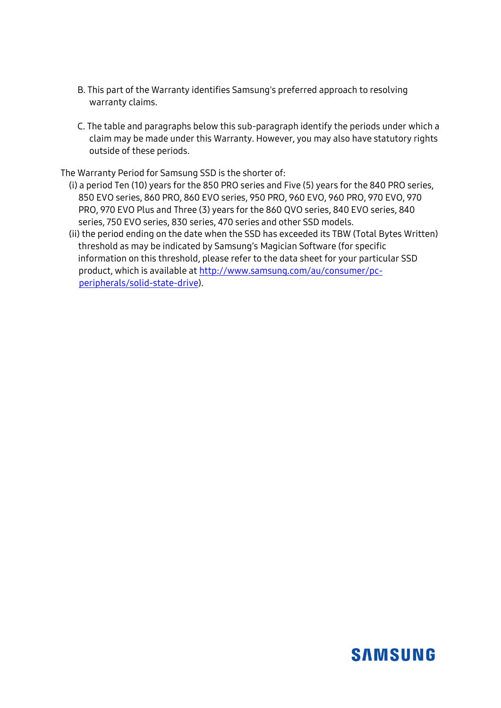- B. This part of the Warranty identifies Samsung's preferred approach to resolving warranty claims.
- C. The table and paragraphs below this sub-paragraph identify the periods under which a claim may be made under this Warranty. However, you may also have statutory rights outside of these periods.

The Warranty Period for Samsung SSD is the shorter of:

- (i) a period Ten (10) years for the 850 PRO series and Five (5) years for the 840 PRO series, 850 EVO series, 860 PRO, 860 EVO series, 950 PRO, 960 EVO, 960 PRO, 970 EVO, 970 PRO, 970 EVO Plus and Three (3) years for the 860 QVO series, 840 EVO series, 840 series, 750 EVO series, 830 series, 470 series and other SSD models.
- (ii) the period ending on the date when the SSD has exceeded its TBW (Total Bytes Written) threshold as may be indicated by Samsung's Magician Software (for specific information on this threshold, please refer to the data sheet for your particular SSD product, which is available a[t http://www.samsung.com/au/consumer/pc](http://www.samsung.com/au/consumer/pc-peripherals/solid-state-drive)[peripherals/solid-state-drive\)](http://www.samsung.com/au/consumer/pc-peripherals/solid-state-drive).

# **SAMSUNG**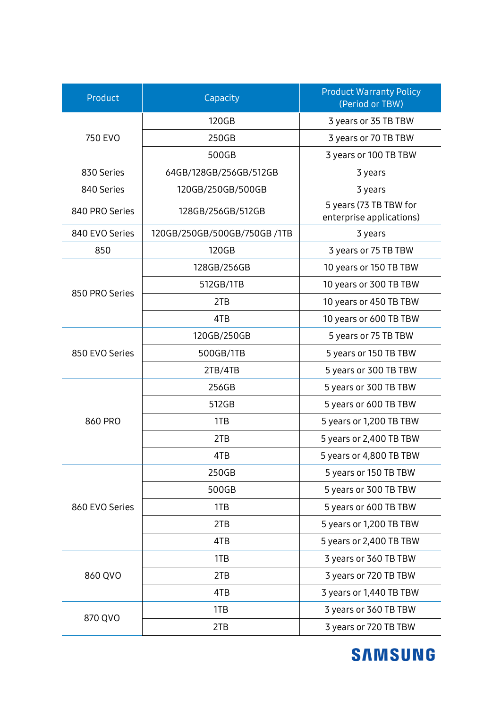| Product        | Capacity                    | <b>Product Warranty Policy</b><br>(Period or TBW)  |
|----------------|-----------------------------|----------------------------------------------------|
| 750 EVO        | 120GB                       | 3 years or 35 TB TBW                               |
|                | 250GB                       | 3 years or 70 TB TBW                               |
|                | 500GB                       | 3 years or 100 TB TBW                              |
| 830 Series     | 64GB/128GB/256GB/512GB      | 3 years                                            |
| 840 Series     | 120GB/250GB/500GB           | 3 years                                            |
| 840 PRO Series | 128GB/256GB/512GB           | 5 years (73 TB TBW for<br>enterprise applications) |
| 840 EVO Series | 120GB/250GB/500GB/750GB/1TB | 3 years                                            |
| 850            | 120GB                       | 3 years or 75 TB TBW                               |
| 850 PRO Series | 128GB/256GB                 | 10 years or 150 TB TBW                             |
|                | 512GB/1TB                   | 10 years or 300 TB TBW                             |
|                | 2TB                         | 10 years or 450 TB TBW                             |
|                | 4TB                         | 10 years or 600 TB TBW                             |
|                | 120GB/250GB                 | 5 years or 75 TB TBW                               |
| 850 EVO Series | 500GB/1TB                   | 5 years or 150 TB TBW                              |
|                | 2TB/4TB                     | 5 years or 300 TB TBW                              |
| 860 PRO        | 256GB                       | 5 years or 300 TB TBW                              |
|                | 512GB                       | 5 years or 600 TB TBW                              |
|                | 1TB                         | 5 years or 1,200 TB TBW                            |
|                | 2TB                         | 5 years or 2,400 TB TBW                            |
|                | 4TB                         | 5 years or 4,800 TB TBW                            |
| 860 EVO Series | 250GB                       | 5 years or 150 TB TBW                              |
|                | 500GB                       | 5 years or 300 TB TBW                              |
|                | 1TB                         | 5 years or 600 TB TBW                              |
|                | 2TB                         | 5 years or 1,200 TB TBW                            |
|                | 4TB                         | 5 years or 2,400 TB TBW                            |
| 860 QVO        | 1TB                         | 3 years or 360 TB TBW                              |
|                | 2TB                         | 3 years or 720 TB TBW                              |
|                | 4TB                         | 3 years or 1,440 TB TBW                            |
| 870 QVO        | 1TB                         | 3 years or 360 TB TBW                              |
|                | 2TB                         | 3 years or 720 TB TBW                              |

**SAMSUNG**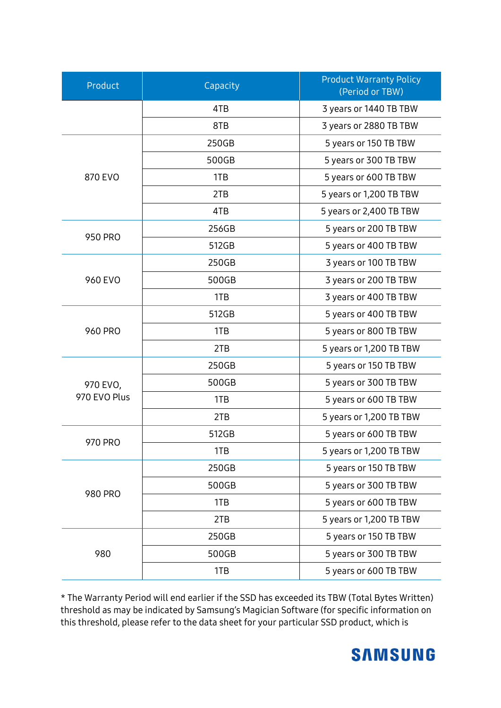| Product                  | Capacity | <b>Product Warranty Policy</b><br>(Period or TBW) |
|--------------------------|----------|---------------------------------------------------|
|                          | 4TB      | 3 years or 1440 TB TBW                            |
|                          | 8TB      | 3 years or 2880 TB TBW                            |
| 870 EVO                  | 250GB    | 5 years or 150 TB TBW                             |
|                          | 500GB    | 5 years or 300 TB TBW                             |
|                          | 1TB      | 5 years or 600 TB TBW                             |
|                          | 2TB      | 5 years or 1,200 TB TBW                           |
|                          | 4TB      | 5 years or 2,400 TB TBW                           |
| 950 PRO                  | 256GB    | 5 years or 200 TB TBW                             |
|                          | 512GB    | 5 years or 400 TB TBW                             |
| 960 EVO                  | 250GB    | 3 years or 100 TB TBW                             |
|                          | 500GB    | 3 years or 200 TB TBW                             |
|                          | 1TB      | 3 years or 400 TB TBW                             |
| <b>960 PRO</b>           | 512GB    | 5 years or 400 TB TBW                             |
|                          | 1TB      | 5 years or 800 TB TBW                             |
|                          | 2TB      | 5 years or 1,200 TB TBW                           |
| 970 EVO,<br>970 EVO Plus | 250GB    | 5 years or 150 TB TBW                             |
|                          | 500GB    | 5 years or 300 TB TBW                             |
|                          | 1TB      | 5 years or 600 TB TBW                             |
|                          | 2TB      | 5 years or 1,200 TB TBW                           |
| 970 PRO                  | 512GB    | 5 years or 600 TB TBW                             |
|                          | 1TB      | 5 years or 1,200 TB TBW                           |
| <b>980 PRO</b>           | 250GB    | 5 years or 150 TB TBW                             |
|                          | 500GB    | 5 years or 300 TB TBW                             |
|                          | 1TB      | 5 years or 600 TB TBW                             |
|                          | 2TB      | 5 years or 1,200 TB TBW                           |
| 980                      | 250GB    | 5 years or 150 TB TBW                             |
|                          | 500GB    | 5 years or 300 TB TBW                             |
|                          | 1TB      | 5 years or 600 TB TBW                             |

\* The Warranty Period will end earlier if the SSD has exceeded its TBW (Total Bytes Written) threshold as may be indicated by Samsung's Magician Software (for specific information on this threshold, please refer to the data sheet for your particular SSD product, which is